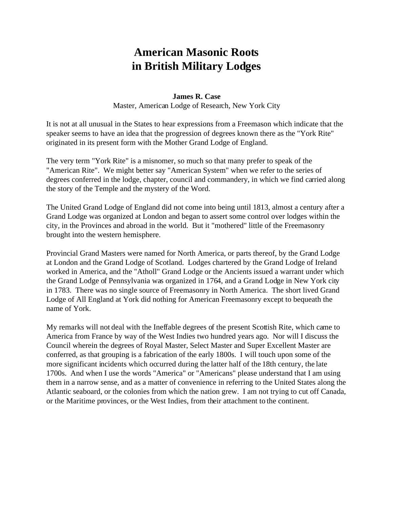## **American Masonic Roots in British Military Lodges**

## **James R. Case**

Master, American Lodge of Research, New York City

It is not at all unusual in the States to hear expressions from a Freemason which indicate that the speaker seems to have an idea that the progression of degrees known there as the "York Rite" originated in its present form with the Mother Grand Lodge of England.

The very term "York Rite" is a misnomer, so much so that many prefer to speak of the "American Rite". We might better say "American System" when we refer to the series of degrees conferred in the lodge, chapter, council and commandery, in which we find carried along the story of the Temple and the mystery of the Word.

The United Grand Lodge of England did not come into being until 1813, almost a century after a Grand Lodge was organized at London and began to assert some control over lodges within the city, in the Provinces and abroad in the world. But it "mothered" little of the Freemasonry brought into the western hemisphere.

Provincial Grand Masters were named for North America, or parts thereof, by the Grand Lodge at London and the Grand Lodge of Scotland. Lodges chartered by the Grand Lodge of Ireland worked in America, and the "Atholl" Grand Lodge or the Ancients issued a warrant under which the Grand Lodge of Pennsylvania was organized in 1764, and a Grand Lodge in New York city in 1783. There was no single source of Freemasonry in North America. The short lived Grand Lodge of All England at York did nothing for American Freemasonry except to bequeath the name of York.

My remarks will not deal with the Ineffable degrees of the present Scottish Rite, which came to America from France by way of the West Indies two hundred years ago. Nor will I discuss the Council wherein the degrees of Royal Master, Select Master and Super Excellent Master are conferred, as that grouping is a fabrication of the early 1800s. I will touch upon some of the more significant incidents which occurred during the latter half of the 18th century, the late 1700s. And when I use the words "America" or "Americans" please understand that I am using them in a narrow sense, and as a matter of convenience in referring to the United States along the Atlantic seaboard, or the colonies from which the nation grew. I am not trying to cut off Canada, or the Maritime provinces, or the West Indies, from their attachment to the continent.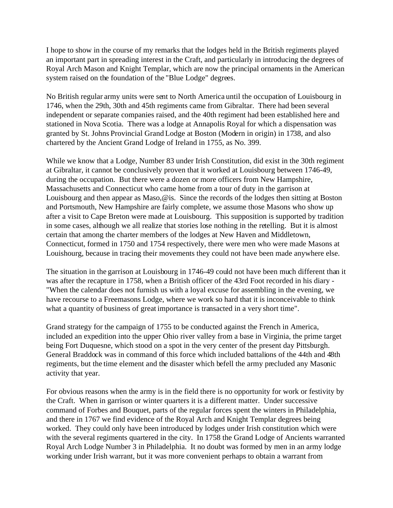I hope to show in the course of my remarks that the lodges held in the British regiments played an important part in spreading interest in the Craft, and particularly in introducing the degrees of Royal Arch Mason and Knight Templar, which are now the principal ornaments in the American system raised on the foundation of the "Blue Lodge" degrees.

No British regular army units were sent to North America until the occupation of Louisbourg in 1746, when the 29th, 30th and 45th regiments came from Gibraltar. There had been several independent or separate companies raised, and the 40th regiment had been established here and stationed in Nova Scotia. There was a lodge at Annapolis Royal for which a dispensation was granted by St. Johns Provincial Grand Lodge at Boston (Modern in origin) in 1738, and also chartered by the Ancient Grand Lodge of Ireland in 1755, as No. 399.

While we know that a Lodge, Number 83 under Irish Constitution, did exist in the 30th regiment at Gibraltar, it cannot be conclusively proven that it worked at Louisbourg between 1746-49, during the occupation. But there were a dozen or more officers from New Hampshire, Massachusetts and Connecticut who came home from a tour of duty in the garrison at Louisbourg and then appear as Maso,@is. Since the records of the lodges then sitting at Boston and Portsmouth, New Hampshire are fairly complete, we assume those Masons who show up after a visit to Cape Breton were made at Louisbourg. This supposition is supported by tradition in some cases, although we all realize that stories lose nothing in the retelling. But it is almost certain that among the charter members of the lodges at New Haven and Middletown, Connecticut, formed in 1750 and 1754 respectively, there were men who were made Masons at Louishourg, because in tracing their movements they could not have been made anywhere else.

The situation in the garrison at Louisbourg in 1746-49 could not have been much different than it was after the recapture in 1758, when a British officer of the 43rd Foot recorded in his diary - "When the calendar does not furnish us with a loyal excuse for assembling in the evening, we have recourse to a Freemasons Lodge, where we work so hard that it is inconceivable to think what a quantity of business of great importance is transacted in a very short time".

Grand strategy for the campaign of 1755 to be conducted against the French in America, included an expedition into the upper Ohio river valley from a base in Virginia, the prime target being Fort Duquesne, which stood on a spot in the very center of the present day Pittsburgh. General Braddock was in command of this force which included battalions of the 44th and 48th regiments, but the time element and the disaster which befell the army precluded any Masonic activity that year.

For obvious reasons when the army is in the field there is no opportunity for work or festivity by the Craft. When in garrison or winter quarters it is a different matter. Under successive command of Forbes and Bouquet, parts of the regular forces spent the winters in Philadelphia, and there in 1767 we find evidence of the Royal Arch and Knight Templar degrees being worked. They could only have been introduced by lodges under Irish constitution which were with the several regiments quartered in the city. In 1758 the Grand Lodge of Ancients warranted Royal Arch Lodge Number 3 in Philadelphia. It no doubt was formed by men in an army lodge working under Irish warrant, but it was more convenient perhaps to obtain a warrant from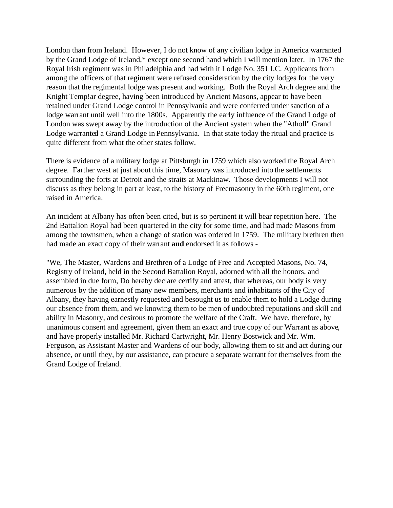London than from Ireland. However, I do not know of any civilian lodge in America warranted by the Grand Lodge of Ireland,\* except one second hand which I will mention later. In 1767 the Royal Irish regiment was in Philadelphia and had with it Lodge No. 351 I.C. Applicants from among the officers of that regiment were refused consideration by the city lodges for the very reason that the regimental lodge was present and working. Both the Royal Arch degree and the Knight Temp!ar degree, having been introduced by Ancient Masons, appear to have been retained under Grand Lodge control in Pennsylvania and were conferred under sanction of a lodge warrant until well into the 1800s. Apparently the early influence of the Grand Lodge of London was swept away by the introduction of the Ancient system when the "Atholl" Grand Lodge warranted a Grand Lodge in Pennsylvania. In that state today the ritual and practice is quite different from what the other states follow.

There is evidence of a military lodge at Pittsburgh in 1759 which also worked the Royal Arch degree. Farther west at just about this time, Masonry was introduced into the settlements surrounding the forts at Detroit and the straits at Mackinaw. Those developments I will not discuss as they belong in part at least, to the history of Freemasonry in the 60th regiment, one raised in America.

An incident at Albany has often been cited, but is so pertinent it will bear repetition here. The 2nd Battalion Royal had been quartered in the city for some time, and had made Masons from among the townsmen, when a change of station was ordered in 1759. The military brethren then had made an exact copy of their warrant **and** endorsed it as follows -

"We, The Master, Wardens and Brethren of a Lodge of Free and Accepted Masons, No. 74, Registry of Ireland, held in the Second Battalion Royal, adorned with all the honors, and assembled in due form, Do hereby declare certify and attest, that whereas, our body is very numerous by the addition of many new members, merchants and inhabitants of the City of Albany, they having earnestly requested and besought us to enable them to hold a Lodge during our absence from them, and we knowing them to be men of undoubted reputations and skill and ability in Masonry, and desirous to promote the welfare of the Craft. We have, therefore, by unanimous consent and agreement, given them an exact and true copy of our Warrant as above, and have properly installed Mr. Richard Cartwright, Mr. Henry Bostwick and Mr. Wm. Ferguson, as Assistant Master and Wardens of our body, allowing them to sit and act during our absence, or until they, by our assistance, can procure a separate warrant for themselves from the Grand Lodge of Ireland.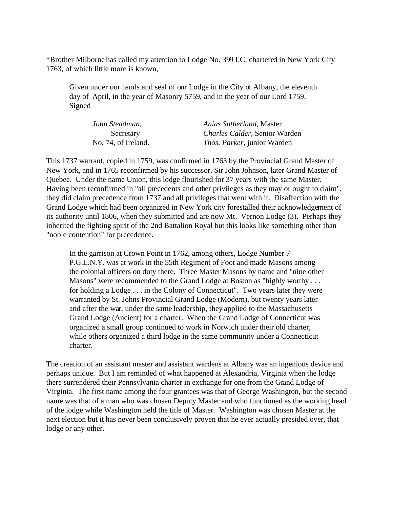\*Brother Milborne has called my attention to Lodge No. 399 I.C. chartered in New York City 1763, of which little more is known,

Given under our hands and seal of our Lodge in the City of Albany, the eleventh day of April, in the year of Masonry 5759, and in the year of our Lord 1759. Signed

| John Steadman,      | Anias Sutherland, Master              |
|---------------------|---------------------------------------|
| Secretary           | <i>Charles Calder</i> , Senior Warden |
| No. 74, of Ireland. | <i>Thos. Parker, junior Warden</i>    |

This 1737 warrant, copied in 1759, was confirmed in 1763 by the Provincial Grand Master of New York, and in 1765 reconfirmed by his successor, Sir John Johnson, later Grand Master of Quebec. Under the name Union, this lodge flourished for 37 years with the same Master. Having been reconfirmed in "all precedents and other privileges as they may or ought to claim", they did claim precedence from 1737 and all privileges that went with it. Disaffection with the Grand Lodge which had been organized in New York city forestalled their acknowledgement of its authority until 1806, when they submitted and are now Mt. Vernon Lodge (3). Perhaps they inherited the fighting spirit of the 2nd Battalion Royal but this looks like something other than "noble contention" for precedence.

In the garrison at Crown Point in 1762, among others, Lodge Number 7 P.G.L.N.Y. was at work in the 55th Regiment of Foot and made Masons among the colonial officers on duty there. Three Master Masons by name and "nine other Masons" were recommended to the Grand Lodge at Boston as "highly worthy . . . for holding a Lodge . . . in the Colony of Connecticut". Two years later they were warranted by St. Johns Provincial Grand Lodge (Modern), but twenty years later and after the war, under the same leadership, they applied to the Massachusetts Grand Lodge (Ancient) for a charter. When the Grand Lodge of Connecticut was organized a small group continued to work in Norwich under their old charter, while others organized a third lodge in the same community under a Connecticut charter.

The creation of an assistant master and assistant wardens at Albany was an ingenious device and perhaps unique. But I am reminded of what happened at Alexandria, Virginia when the lodge there surrendered their Pennsylvania charter in exchange for one from the Grand Lodge of Virginia. The first name among the four grantees was that of George Washington, but the second name was that of a man who was chosen Deputy Master and who functioned as the working head of the lodge while Washington held the title of Master. Washington was chosen Master at the next election but it has never been conclusively proven that he ever actually presided over, that lodge or any other.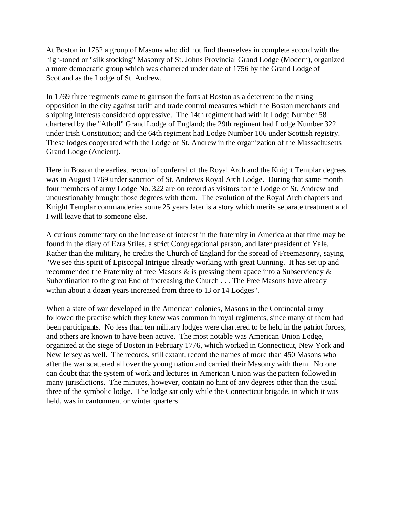At Boston in 1752 a group of Masons who did not find themselves in complete accord with the high-toned or "silk stocking" Masonry of St. Johns Provincial Grand Lodge (Modern), organized a more democratic group which was chartered under date of 1756 by the Grand Lodge of Scotland as the Lodge of St. Andrew.

In 1769 three regiments came to garrison the forts at Boston as a deterrent to the rising opposition in the city against tariff and trade control measures which the Boston merchants and shipping interests considered oppressive. The 14th regiment had with it Lodge Number 58 chartered by the "Atholl" Grand Lodge of England; the 29th regiment had Lodge Number 322 under Irish Constitution; and the 64th regiment had Lodge Number 106 under Scottish registry. These lodges cooperated with the Lodge of St. Andrew in the organization of the Massachusetts Grand Lodge (Ancient).

Here in Boston the earliest record of conferral of the Royal Arch and the Knight Templar degrees was in August 1769 under sanction of St. Andrews Royal Arch Lodge. During that same month four members of army Lodge No. 322 are on record as visitors to the Lodge of St. Andrew and unquestionably brought those degrees with them. The evolution of the Royal Arch chapters and Knight Templar commanderies some 25 years later is a story which merits separate treatment and I will leave that to someone else.

A curious commentary on the increase of interest in the fraternity in America at that time may be found in the diary of Ezra Stiles, a strict Congregational parson, and later president of Yale. Rather than the military, he credits the Church of England for the spread of Freemasonry, saying "We see this spirit of Episcopal Intrigue already working with great Cunning. It has set up and recommended the Fraternity of free Masons & is pressing them apace into a Subserviency & Subordination to the great End of increasing the Church . . . The Free Masons have already within about a dozen years increased from three to 13 or 14 Lodges".

When a state of war developed in the American colonies, Masons in the Continental army followed the practise which they knew was common in royal regiments, since many of them had been participants. No less than ten military lodges were chartered to be held in the patriot forces, and others are known to have been active. The most notable was American Union Lodge, organized at the siege of Boston in February 1776, which worked in Connecticut, New York and New Jersey as well. The records, still extant, record the names of more than 450 Masons who after the war scattered all over the young nation and carried their Masonry with them. No one can doubt that the system of work and lectures in American Union was the pattern followed in many jurisdictions. The minutes, however, contain no hint of any degrees other than the usual three of the symbolic lodge. The lodge sat only while the Connecticut brigade, in which it was held, was in cantonment or winter quarters.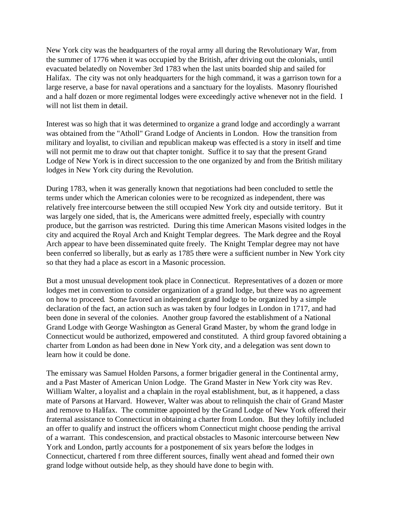New York city was the headquarters of the royal army all during the Revolutionary War, from the summer of 1776 when it was occupied by the British, after driving out the colonials, until evacuated belatedly on November 3rd 1783 when the last units boarded ship and sailed for Halifax. The city was not only headquarters for the high command, it was a garrison town for a large reserve, a base for naval operations and a sanctuary for the loyalists. Masonry flourished and a half dozen or more regimental lodges were exceedingly active whenever not in the field. I will not list them in detail.

Interest was so high that it was determined to organize a grand lodge and accordingly a warrant was obtained from the "Atholl" Grand Lodge of Ancients in London. How the transition from military and loyalist, to civilian and republican makeup was effected is a story in itself and time will not permit me to draw out that chapter tonight. Suffice it to say that the present Grand Lodge of New York is in direct succession to the one organized by and from the British military lodges in New York city during the Revolution.

During 1783, when it was generally known that negotiations had been concluded to settle the terms under which the American colonies were to be recognized as independent, there was relatively free intercourse between the still occupied New York city and outside territory. But it was largely one sided, that is, the Americans were admitted freely, especially with country produce, but the garrison was restricted. During this time American Masons visited lodges in the city and acquired the Royal Arch and Knight Templar degrees. The Mark degree and the Royal Arch appear to have been disseminated quite freely. The Knight Templar degree may not have been conferred so liberally, but as early as 1785 there were a sufficient number in New York city so that they had a place as escort in a Masonic procession.

But a most unusual development took place in Connecticut. Representatives of a dozen or more lodges met in convention to consider organization of a grand lodge, but there was no agreement on how to proceed. Some favored an independent grand lodge to be organized by a simple declaration of the fact, an action such as was taken by four lodges in London in 1717, and had been done in several of the colonies. Another group favored the establishment of a National Grand Lodge with George Washington as General Grand Master, by whom the grand lodge in Connecticut would be authorized, empowered and constituted. A third group favored obtaining a charter from London as had been done in New York city, and a delegation was sent down to learn how it could be done.

The emissary was Samuel Holden Parsons, a former brigadier general in the Continental army, and a Past Master of American Union Lodge. The Grand Master in New York city was Rev. William Walter, a loyalist and a chaplain in the royal establishment, but, as it happened, a class mate of Parsons at Harvard. However, Walter was about to relinquish the chair of Grand Master and remove to Halifax. The committee appointed by the Grand Lodge of New York offered their fraternal assistance to Connecticut in obtaining a charter from London. But they loftily included an offer to qualify and instruct the officers whom Connecticut might choose pending the arrival of a warrant. This condescension, and practical obstacles to Masonic intercourse between New York and London, partly accounts for a postponement of six years before the lodges in Connecticut, chartered f rom three different sources, finally went ahead and formed their own grand lodge without outside help, as they should have done to begin with.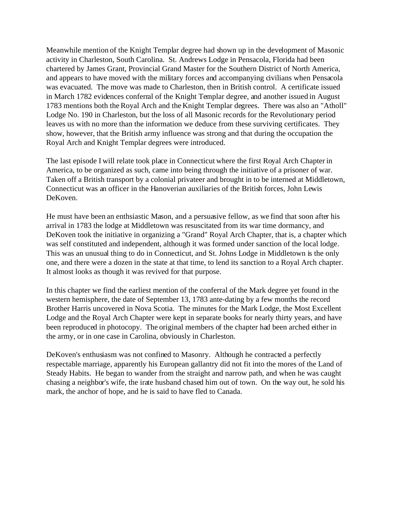Meanwhile mention of the Knight Templar degree had shown up in the development of Masonic activity in Charleston, South Carolina. St. Andrews Lodge in Pensacola, Florida had been chartered by James Grant, Provincial Grand Master for the Southern District of North America, and appears to have moved with the military forces and accompanying civilians when Pensacola was evacuated. The move was made to Charleston, then in British control. A certificate issued in March 1782 evidences conferral of the Knight Templar degree, and another issued in August 1783 mentions both the Royal Arch and the Knight Templar degrees. There was also an "Atholl" Lodge No. 190 in Charleston, but the loss of all Masonic records for the Revolutionary period leaves us with no more than the information we deduce from these surviving certificates. They show, however, that the British army influence was strong and that during the occupation the Royal Arch and Knight Templar degrees were introduced.

The last episode I will relate took place in Connecticut where the first Royal Arch Chapter in America, to be organized as such, came into being through the initiative of a prisoner of war. Taken off a British transport by a colonial privateer and brought in to be interned at Middletown, Connecticut was an officer in the Hanoverian auxiliaries of the British forces, John Lewis DeKoven.

He must have been an enthsiastic Mason, and a persuasive fellow, as we find that soon after his arrival in 1783 the lodge at Middletown was resuscitated from its war time dormancy, and DeKoven took the initiative in organizing a "Grand" Royal Arch Chapter, that is, a chapter which was self constituted and independent, although it was formed under sanction of the local lodge. This was an unusual thing to do in Connecticut, and St. Johns Lodge in Middletown is the only one, and there were a dozen in the state at that time, to lend its sanction to a Royal Arch chapter. It almost looks as though it was revived for that purpose.

In this chapter we find the earliest mention of the conferral of the Mark degree yet found in the western hemisphere, the date of September 13, 1783 ante-dating by a few months the record Brother Harris uncovered in Nova Scotia. The minutes for the Mark Lodge, the Most Excellent Lodge and the Royal Arch Chapter were kept in separate books for nearly thirty years, and have been reproduced in photocopy. The original members of the chapter had been arched either in the army, or in one case in Carolina, obviously in Charleston.

DeKoven's enthusiasm was not confined to Masonry. Although he contracted a perfectly respectable marriage, apparently his European gallantry did not fit into the mores of the Land of Steady Habits. He began to wander from the straight and narrow path, and when he was caught chasing a neighbor's wife, the irate husband chased him out of town. On the way out, he sold his mark, the anchor of hope, and he is said to have fled to Canada.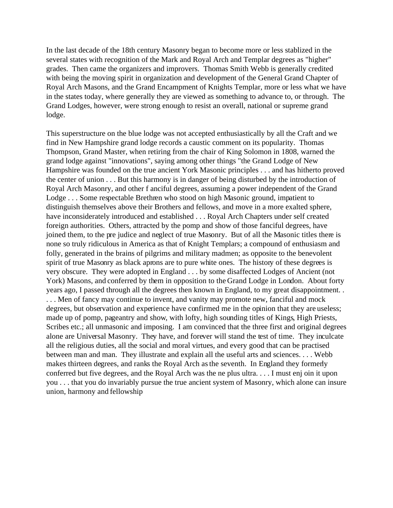In the last decade of the 18th century Masonry began to become more or less stablized in the several states with recognition of the Mark and Royal Arch and Templar degrees as "higher" grades. Then came the organizers and improvers. Thomas Smith Webb is generally credited with being the moving spirit in organization and development of the General Grand Chapter of Royal Arch Masons, and the Grand Encampment of Knights Templar, more or less what we have in the states today, where generally they are viewed as something to advance to, or through. The Grand Lodges, however, were strong enough to resist an overall, national or supreme grand lodge.

This superstructure on the blue lodge was not accepted enthusiastically by all the Craft and we find in New Hampshire grand lodge records a caustic comment on its popularity. Thomas Thompson, Grand Master, when retiring from the chair of King Solomon in 1808, warned the grand lodge against "innovations", saying among other things "the Grand Lodge of New Hampshire was founded on the true ancient York Masonic principles . . . and has hitherto proved the center of union . . . But this harmony is in danger of being disturbed by the introduction of Royal Arch Masonry, and other f anciful degrees, assuming a power independent of the Grand Lodge . . . Some respectable Brethren who stood on high Masonic ground, impatient to distinguish themselves above their Brothers and fellows, and move in a more exalted sphere, have inconsiderately introduced and established . . . Royal Arch Chapters under self created foreign authorities. Others, attracted by the pomp and show of those fanciful degrees, have joined them, to the pre judice and neglect of true Masonry. But of all the Masonic titles there is none so truly ridiculous in America as that of Knight Templars; a compound of enthusiasm and folly, generated in the brains of pilgrims and military madmen; as opposite to the benevolent spirit of true Masonry as black aprons are to pure white ones. The history of these degrees is very obscure. They were adopted in England . . . by some disaffected Lodges of Ancient (not York) Masons, and conferred by them in opposition to the Grand Lodge in London. About forty years ago, I passed through all the degrees then known in England, to my great disappointment. . ... Men of fancy may continue to invent, and vanity may promote new, fanciful and mock degrees, but observation and experience have confirmed me in the opinion that they are useless; made up of pomp, pageantry and show, with lofty, high sounding titles of Kings, High Priests, Scribes etc.; all unmasonic and imposing. I am convinced that the three first and original degrees alone are Universal Masonry. They have, and forever will stand the test of time. They inculcate all the religious duties, all the social and moral virtues, and every good that can be practised between man and man. They illustrate and explain all the useful arts and sciences. . . . Webb makes thirteen degrees, and ranks the Royal Arch as the seventh. In England they formerly conferred but five degrees, and the Royal Arch was the ne plus ultra. . . . I must enj oin it upon you . . . that you do invariably pursue the true ancient system of Masonry, which alone can insure union, harmony and fellowship